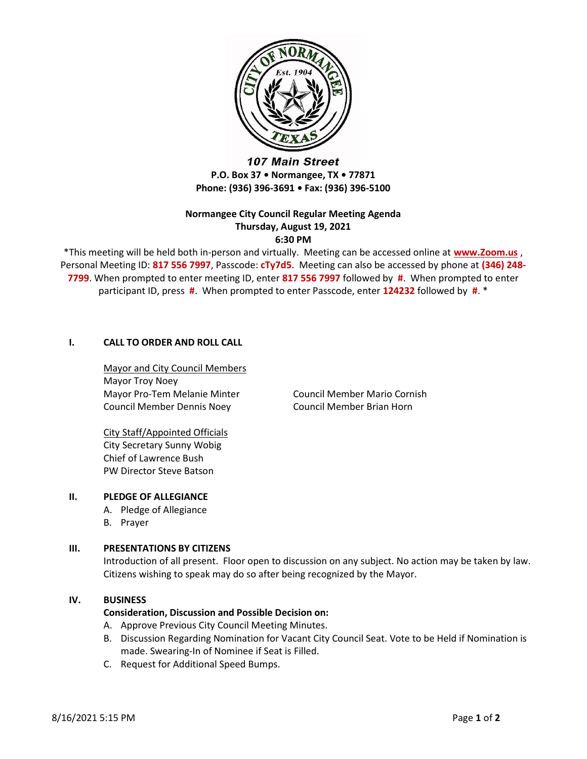

107 Main Street P.O. Box 37 • Normangee, TX • 77871 Phone: (936) 396-3691 • Fax: (936) 396-5100

# Normangee City Council Regular Meeting Agenda Thursday, August 19, 2021 6:30 PM

\*This meeting will be held both in-person and virtually. Meeting can be accessed online at www.Zoom.us, Personal Meeting ID: 817 556 7997, Passcode: cTy7d5. Meeting can also be accessed by phone at (346) 248-7799. When prompted to enter meeting ID, enter 817 556 7997 followed by #. When prompted to enter participant ID, press #. When prompted to enter Passcode, enter 124232 followed by #. \*

# I. CALL TO ORDER AND ROLL CALL

Mayor and City Council Members Mayor Troy Noey Mayor Pro-Tem Melanie Minter Council Member Mario Cornish Council Member Dennis Noey Council Member Brian Horn

City Staff/Appointed Officials City Secretary Sunny Wobig Chief of Lawrence Bush PW Director Steve Batson

# II. PLEDGE OF ALLEGIANCE

- A. Pledge of Allegiance
- B. Prayer

## III. PRESENTATIONS BY CITIZENS

Introduction of all present. Floor open to discussion on any subject. No action may be taken by law. Citizens wishing to speak may do so after being recognized by the Mayor.

#### IV. BUSINESS

## Consideration, Discussion and Possible Decision on:

- A. Approve Previous City Council Meeting Minutes.
- B. Discussion Regarding Nomination for Vacant City Council Seat. Vote to be Held if Nomination is made. Swearing-In of Nominee if Seat is Filled.
- C. Request for Additional Speed Bumps.